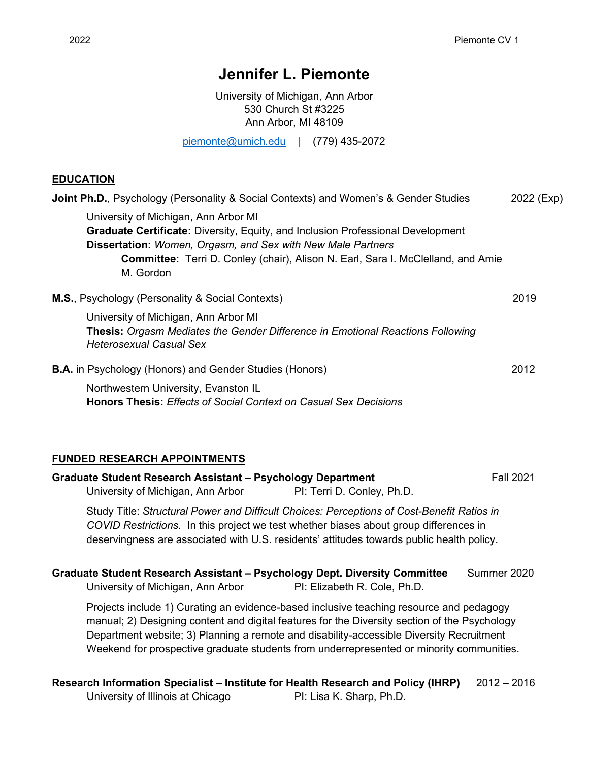# **Jennifer L. Piemonte**

University of Michigan, Ann Arbor 530 Church St #3225 Ann Arbor, MI 48109

[piemonte@umich.edu](mailto:piemonte@umich.edu) | (779) 435-2072

## **EDUCATION**

| <b>Joint Ph.D., Psychology (Personality &amp; Social Contexts) and Women's &amp; Gender Studies</b>                                                                                                                                                                                                          | 2022 (Exp) |
|--------------------------------------------------------------------------------------------------------------------------------------------------------------------------------------------------------------------------------------------------------------------------------------------------------------|------------|
| University of Michigan, Ann Arbor MI<br><b>Graduate Certificate:</b> Diversity, Equity, and Inclusion Professional Development<br><b>Dissertation: Women, Orgasm, and Sex with New Male Partners</b><br><b>Committee:</b> Terri D. Conley (chair), Alison N. Earl, Sara I. McClelland, and Amie<br>M. Gordon |            |
| <b>M.S., Psychology (Personality &amp; Social Contexts)</b>                                                                                                                                                                                                                                                  | 2019       |
| University of Michigan, Ann Arbor MI<br><b>Thesis: Orgasm Mediates the Gender Difference in Emotional Reactions Following</b><br><b>Heterosexual Casual Sex</b>                                                                                                                                              |            |
| <b>B.A.</b> in Psychology (Honors) and Gender Studies (Honors)                                                                                                                                                                                                                                               | 2012       |
| Northwestern University, Evanston IL<br><b>Honors Thesis: Effects of Social Context on Casual Sex Decisions</b>                                                                                                                                                                                              |            |
|                                                                                                                                                                                                                                                                                                              |            |

#### **FUNDED RESEARCH APPOINTMENTS**

|                                                                                                                                                                                                                                                                                                                                                                                  | Graduate Student Research Assistant - Psychology Department<br>University of Michigan, Ann Arbor                                                                                                                                                                                 | PI: Terri D. Conley, Ph.D.   | <b>Fall 2021</b> |
|----------------------------------------------------------------------------------------------------------------------------------------------------------------------------------------------------------------------------------------------------------------------------------------------------------------------------------------------------------------------------------|----------------------------------------------------------------------------------------------------------------------------------------------------------------------------------------------------------------------------------------------------------------------------------|------------------------------|------------------|
|                                                                                                                                                                                                                                                                                                                                                                                  | Study Title: Structural Power and Difficult Choices: Perceptions of Cost-Benefit Ratios in<br>COVID Restrictions. In this project we test whether biases about group differences in<br>deservingness are associated with U.S. residents' attitudes towards public health policy. |                              |                  |
|                                                                                                                                                                                                                                                                                                                                                                                  | Graduate Student Research Assistant – Psychology Dept. Diversity Committee<br>University of Michigan, Ann Arbor                                                                                                                                                                  | PI: Elizabeth R. Cole, Ph.D. | Summer 2020      |
| Projects include 1) Curating an evidence-based inclusive teaching resource and pedagogy<br>manual; 2) Designing content and digital features for the Diversity section of the Psychology<br>Department website; 3) Planning a remote and disability-accessible Diversity Recruitment<br>Weekend for prospective graduate students from underrepresented or minority communities. |                                                                                                                                                                                                                                                                                  |                              |                  |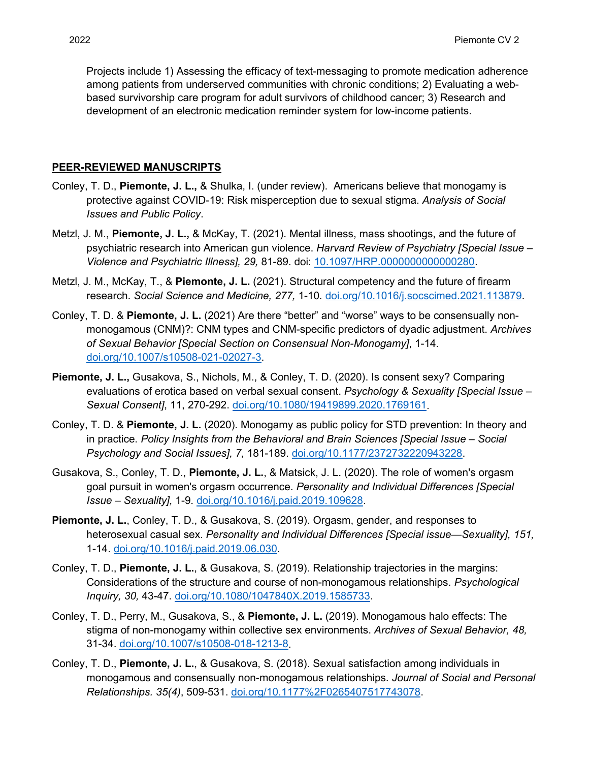Projects include 1) Assessing the efficacy of text-messaging to promote medication adherence among patients from underserved communities with chronic conditions; 2) Evaluating a webbased survivorship care program for adult survivors of childhood cancer; 3) Research and development of an electronic medication reminder system for low-income patients.

#### **PEER-REVIEWED MANUSCRIPTS**

- Conley, T. D., **Piemonte, J. L.,** & Shulka, I. (under review). Americans believe that monogamy is protective against COVID-19: Risk misperception due to sexual stigma. *Analysis of Social Issues and Public Policy*.
- Metzl, J. M., **Piemonte, J. L.,** & McKay, T. (2021). Mental illness, mass shootings, and the future of psychiatric research into American gun violence. *Harvard Review of Psychiatry [Special Issue – Violence and Psychiatric Illness], 29,* 81-89. doi: [10.1097/HRP.0000000000000280.](https://dx.doi.org/10.1097%2FHRP.0000000000000280)
- Metzl, J. M., McKay, T., & **Piemonte, J. L.** (2021). Structural competency and the future of firearm research. *Social Science and Medicine, 277,* 1-10*.* [doi.org/10.1016/j.socscimed.2021.113879.](https://doi.org/10.1016/j.socscimed.2021.113879)
- Conley, T. D. & **Piemonte, J. L.** (2021) Are there "better" and "worse" ways to be consensually nonmonogamous (CNM)?: CNM types and CNM-specific predictors of dyadic adjustment. *Archives of Sexual Behavior [Special Section on Consensual Non-Monogamy]*, 1-14. [doi.org/10.1007/s10508-021-02027-3.](https://doi.org/10.1007/s10508-021-02027-3)
- **Piemonte, J. L.,** Gusakova, S., Nichols, M., & Conley, T. D. (2020). Is consent sexy? Comparing evaluations of erotica based on verbal sexual consent. *Psychology & Sexuality [Special Issue – Sexual Consent]*, 11, 270-292. [doi.org/10.1080/19419899.2020.1769161.](https://doi.org/10.1080/19419899.2020.1769161)
- Conley, T. D. & **Piemonte, J. L.** (2020). Monogamy as public policy for STD prevention: In theory and in practice. *Policy Insights from the Behavioral and Brain Sciences [Special Issue – Social Psychology and Social Issues], 7,* 181-189. [doi.org/10.1177/2372732220943228.](https://doi.org/10.1177/2372732220943228)
- Gusakova, S., Conley, T. D., **Piemonte, J. L.**, & Matsick, J. L. (2020). The role of women's orgasm goal pursuit in women's orgasm occurrence. *Personality and Individual Differences [Special Issue – Sexuality],* 1-9. [doi.org/10.1016/j.paid.2019.109628.](https://doi.org/10.1016/j.paid.2019.109628)
- **Piemonte, J. L.**, Conley, T. D., & Gusakova, S. (2019). Orgasm, gender, and responses to heterosexual casual sex. *Personality and Individual Differences [Special issue—Sexuality], 151,* 1-14. [doi.org/10.1016/j.paid.2019.06.030.](https://doi.org/10.1016/j.paid.2019.06.030)
- Conley, T. D., **Piemonte, J. L.**, & Gusakova, S. (2019). Relationship trajectories in the margins: Considerations of the structure and course of non-monogamous relationships. *Psychological Inquiry, 30,* 43-47. [doi.org/10.1080/1047840X.2019.1585733.](https://doi.org/10.1080/1047840X.2019.1585733)
- Conley, T. D., Perry, M., Gusakova, S., & **Piemonte, J. L.** (2019). Monogamous halo effects: The stigma of non-monogamy within collective sex environments. *Archives of Sexual Behavior, 48,*  31-34. [doi.org/10.1007/s10508-018-1213-8.](https://doi.org/10.1007/s10508-018-1213-8)
- Conley, T. D., **Piemonte, J. L.**, & Gusakova, S. (2018). Sexual satisfaction among individuals in monogamous and consensually non-monogamous relationships. *Journal of Social and Personal Relationships. 35(4)*, 509-531. [doi.org/10.1177%2F0265407517743078.](https://doi.org/10.1177%2F0265407517743078)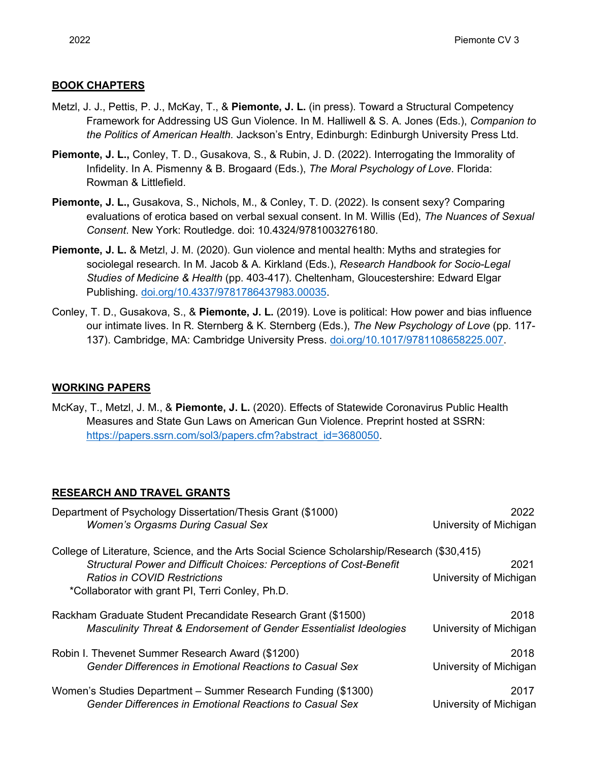## **BOOK CHAPTERS**

- Metzl, J. J., Pettis, P. J., McKay, T., & **Piemonte, J. L.** (in press). Toward a Structural Competency Framework for Addressing US Gun Violence. In M. Halliwell & S. A. Jones (Eds.), *Companion to the Politics of American Health.* Jackson's Entry, Edinburgh: Edinburgh University Press Ltd.
- **Piemonte, J. L.,** Conley, T. D., Gusakova, S., & Rubin, J. D. (2022). Interrogating the Immorality of Infidelity. In A. Pismenny & B. Brogaard (Eds.), *The Moral Psychology of Love*. Florida: Rowman & Littlefield.
- **Piemonte, J. L.,** Gusakova, S., Nichols, M., & Conley, T. D. (2022). Is consent sexy? Comparing evaluations of erotica based on verbal sexual consent. In M. Willis (Ed), *The Nuances of Sexual Consent*. New York: Routledge. doi: 10.4324/9781003276180.
- **Piemonte, J. L.** & Metzl, J. M. (2020). Gun violence and mental health: Myths and strategies for sociolegal research*.* In M. Jacob & A. Kirkland (Eds.), *Research Handbook for Socio-Legal Studies of Medicine & Health* (pp. 403-417). Cheltenham, Gloucestershire: Edward Elgar Publishing. [doi.org/10.4337/9781786437983.00035.](https://doi.org/10.4337/9781786437983.00035)
- Conley, T. D., Gusakova, S., & **Piemonte, J. L.** (2019). Love is political: How power and bias influence our intimate lives. In R. Sternberg & K. Sternberg (Eds.), *The New Psychology of Love* (pp. 117- 137). Cambridge, MA: Cambridge University Press. [doi.org/10.1017/9781108658225.007.](http://www.doi.org/10.1017/9781108658225.007)

## **WORKING PAPERS**

McKay, T., Metzl, J. M., & **Piemonte, J. L.** (2020). Effects of Statewide Coronavirus Public Health Measures and State Gun Laws on American Gun Violence. Preprint hosted at SSRN: [https://papers.ssrn.com/sol3/papers.cfm?abstract\\_id=3680050.](https://papers.ssrn.com/sol3/papers.cfm?abstract_id=3680050)

# **RESEARCH AND TRAVEL GRANTS**

| Department of Psychology Dissertation/Thesis Grant (\$1000)                                                                                                               | 2022                   |
|---------------------------------------------------------------------------------------------------------------------------------------------------------------------------|------------------------|
| <b>Women's Orgasms During Casual Sex</b>                                                                                                                                  | University of Michigan |
| College of Literature, Science, and the Arts Social Science Scholarship/Research (\$30,415)<br><b>Structural Power and Difficult Choices: Perceptions of Cost-Benefit</b> | 2021                   |
| <b>Ratios in COVID Restrictions</b>                                                                                                                                       | University of Michigan |
| *Collaborator with grant PI, Terri Conley, Ph.D.                                                                                                                          |                        |
| Rackham Graduate Student Precandidate Research Grant (\$1500)                                                                                                             | 2018                   |
| <b>Masculinity Threat &amp; Endorsement of Gender Essentialist Ideologies</b>                                                                                             | University of Michigan |
| Robin I. Thevenet Summer Research Award (\$1200)                                                                                                                          | 2018                   |
| <b>Gender Differences in Emotional Reactions to Casual Sex</b>                                                                                                            | University of Michigan |
| Women's Studies Department - Summer Research Funding (\$1300)                                                                                                             | 2017                   |
| <b>Gender Differences in Emotional Reactions to Casual Sex</b>                                                                                                            | University of Michigan |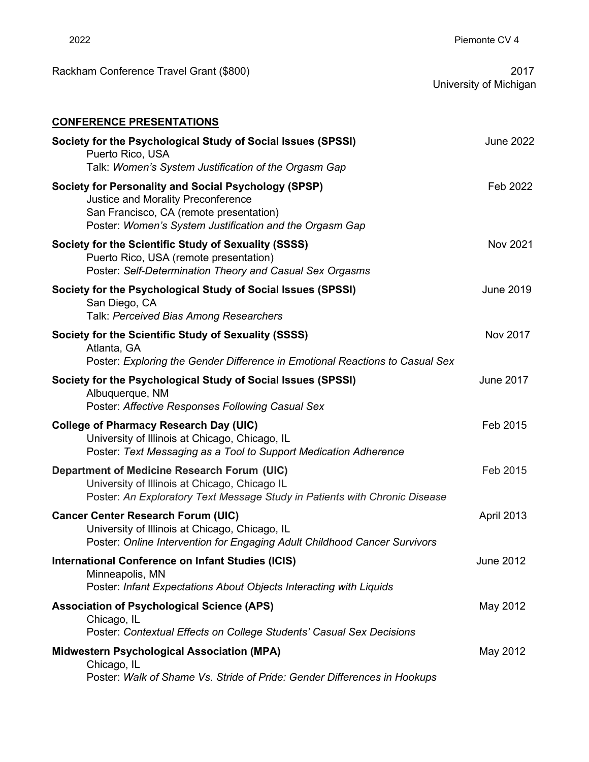|                        | 2017 |
|------------------------|------|
| University of Michigan |      |

Rackham Conference Travel Grant (\$800)

| <b>CONFERENCE PRESENTATIONS</b>                                                                                                                                                                  |                  |
|--------------------------------------------------------------------------------------------------------------------------------------------------------------------------------------------------|------------------|
| Society for the Psychological Study of Social Issues (SPSSI)<br>Puerto Rico, USA<br>Talk: Women's System Justification of the Orgasm Gap                                                         | <b>June 2022</b> |
| Society for Personality and Social Psychology (SPSP)<br>Justice and Morality Preconference<br>San Francisco, CA (remote presentation)<br>Poster: Women's System Justification and the Orgasm Gap | Feb 2022         |
| Society for the Scientific Study of Sexuality (SSSS)<br>Puerto Rico, USA (remote presentation)<br>Poster: Self-Determination Theory and Casual Sex Orgasms                                       | <b>Nov 2021</b>  |
| Society for the Psychological Study of Social Issues (SPSSI)<br>San Diego, CA<br>Talk: Perceived Bias Among Researchers                                                                          | <b>June 2019</b> |
| Society for the Scientific Study of Sexuality (SSSS)<br>Atlanta, GA<br>Poster: Exploring the Gender Difference in Emotional Reactions to Casual Sex                                              | Nov 2017         |
| Society for the Psychological Study of Social Issues (SPSSI)<br>Albuquerque, NM<br>Poster: Affective Responses Following Casual Sex                                                              | <b>June 2017</b> |
| <b>College of Pharmacy Research Day (UIC)</b><br>University of Illinois at Chicago, Chicago, IL<br>Poster: Text Messaging as a Tool to Support Medication Adherence                              | Feb 2015         |
| <b>Department of Medicine Research Forum (UIC)</b><br>University of Illinois at Chicago, Chicago IL<br>Poster: An Exploratory Text Message Study in Patients with Chronic Disease                | Feb 2015         |
| <b>Cancer Center Research Forum (UIC)</b><br>University of Illinois at Chicago, Chicago, IL<br>Poster: Online Intervention for Engaging Adult Childhood Cancer Survivors                         | April 2013       |
| International Conference on Infant Studies (ICIS)<br>Minneapolis, MN<br>Poster: Infant Expectations About Objects Interacting with Liquids                                                       | <b>June 2012</b> |
| <b>Association of Psychological Science (APS)</b><br>Chicago, IL<br>Poster: Contextual Effects on College Students' Casual Sex Decisions                                                         | May 2012         |
| <b>Midwestern Psychological Association (MPA)</b><br>Chicago, IL<br>Poster: Walk of Shame Vs. Stride of Pride: Gender Differences in Hookups                                                     | May 2012         |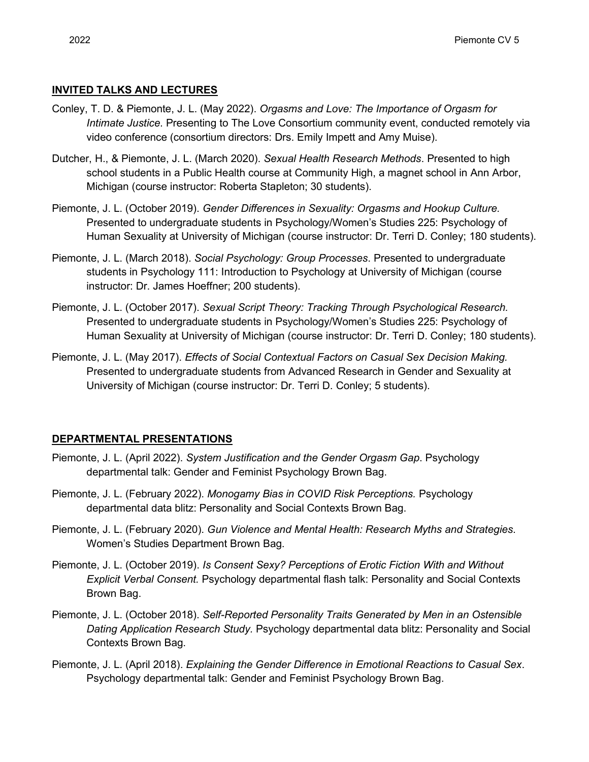## **INVITED TALKS AND LECTURES**

- Conley, T. D. & Piemonte, J. L. (May 2022). *Orgasms and Love: The Importance of Orgasm for Intimate Justice*. Presenting to The Love Consortium community event, conducted remotely via video conference (consortium directors: Drs. Emily Impett and Amy Muise).
- Dutcher, H., & Piemonte, J. L. (March 2020). *Sexual Health Research Methods*. Presented to high school students in a Public Health course at Community High, a magnet school in Ann Arbor, Michigan (course instructor: Roberta Stapleton; 30 students).
- Piemonte, J. L. (October 2019). *Gender Differences in Sexuality: Orgasms and Hookup Culture.* Presented to undergraduate students in Psychology/Women's Studies 225: Psychology of Human Sexuality at University of Michigan (course instructor: Dr. Terri D. Conley; 180 students).
- Piemonte, J. L. (March 2018). *Social Psychology: Group Processes*. Presented to undergraduate students in Psychology 111: Introduction to Psychology at University of Michigan (course instructor: Dr. James Hoeffner; 200 students).
- Piemonte, J. L. (October 2017). *Sexual Script Theory: Tracking Through Psychological Research.* Presented to undergraduate students in Psychology/Women's Studies 225: Psychology of Human Sexuality at University of Michigan (course instructor: Dr. Terri D. Conley; 180 students).
- Piemonte, J. L. (May 2017). *Effects of Social Contextual Factors on Casual Sex Decision Making.* Presented to undergraduate students from Advanced Research in Gender and Sexuality at University of Michigan (course instructor: Dr. Terri D. Conley; 5 students).

# **DEPARTMENTAL PRESENTATIONS**

- Piemonte, J. L. (April 2022). *System Justification and the Gender Orgasm Gap*. Psychology departmental talk: Gender and Feminist Psychology Brown Bag.
- Piemonte, J. L. (February 2022). *Monogamy Bias in COVID Risk Perceptions.* Psychology departmental data blitz: Personality and Social Contexts Brown Bag.
- Piemonte, J. L. (February 2020). *Gun Violence and Mental Health: Research Myths and Strategies*. Women's Studies Department Brown Bag.
- Piemonte, J. L. (October 2019). *Is Consent Sexy? Perceptions of Erotic Fiction With and Without Explicit Verbal Consent.* Psychology departmental flash talk: Personality and Social Contexts Brown Bag.
- Piemonte, J. L. (October 2018). *Self-Reported Personality Traits Generated by Men in an Ostensible Dating Application Research Study.* Psychology departmental data blitz: Personality and Social Contexts Brown Bag.
- Piemonte, J. L. (April 2018). *Explaining the Gender Difference in Emotional Reactions to Casual Sex*. Psychology departmental talk: Gender and Feminist Psychology Brown Bag.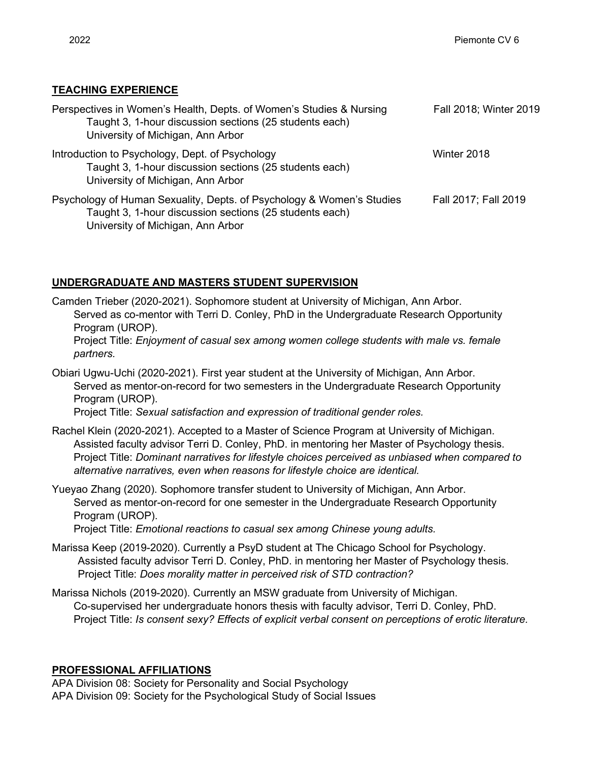# **TEACHING EXPERIENCE**

| Perspectives in Women's Health, Depts. of Women's Studies & Nursing<br>Taught 3, 1-hour discussion sections (25 students each)<br>University of Michigan, Ann Arbor   | Fall 2018; Winter 2019 |
|-----------------------------------------------------------------------------------------------------------------------------------------------------------------------|------------------------|
| Introduction to Psychology, Dept. of Psychology<br>Taught 3, 1-hour discussion sections (25 students each)<br>University of Michigan, Ann Arbor                       | Winter 2018            |
| Psychology of Human Sexuality, Depts. of Psychology & Women's Studies<br>Taught 3, 1-hour discussion sections (25 students each)<br>University of Michigan, Ann Arbor | Fall 2017; Fall 2019   |

# **UNDERGRADUATE AND MASTERS STUDENT SUPERVISION**

- Camden Trieber (2020-2021). Sophomore student at University of Michigan, Ann Arbor. Served as co-mentor with Terri D. Conley, PhD in the Undergraduate Research Opportunity Program (UROP). Project Title: *Enjoyment of casual sex among women college students with male vs. female partners.*
- Obiari Ugwu-Uchi (2020-2021). First year student at the University of Michigan, Ann Arbor. Served as mentor-on-record for two semesters in the Undergraduate Research Opportunity Program (UROP).

Project Title: *Sexual satisfaction and expression of traditional gender roles.*

- Rachel Klein (2020-2021). Accepted to a Master of Science Program at University of Michigan. Assisted faculty advisor Terri D. Conley, PhD. in mentoring her Master of Psychology thesis. Project Title: *Dominant narratives for lifestyle choices perceived as unbiased when compared to alternative narratives, even when reasons for lifestyle choice are identical.*
- Yueyao Zhang (2020). Sophomore transfer student to University of Michigan, Ann Arbor. Served as mentor-on-record for one semester in the Undergraduate Research Opportunity Program (UROP).

Project Title: *Emotional reactions to casual sex among Chinese young adults.* 

- Marissa Keep (2019-2020). Currently a PsyD student at The Chicago School for Psychology. Assisted faculty advisor Terri D. Conley, PhD. in mentoring her Master of Psychology thesis. Project Title: *Does morality matter in perceived risk of STD contraction?*
- Marissa Nichols (2019-2020). Currently an MSW graduate from University of Michigan. Co-supervised her undergraduate honors thesis with faculty advisor, Terri D. Conley, PhD. Project Title: *Is consent sexy? Effects of explicit verbal consent on perceptions of erotic literature.*

# **PROFESSIONAL AFFILIATIONS**

APA Division 08: Society for Personality and Social Psychology APA Division 09: Society for the Psychological Study of Social Issues